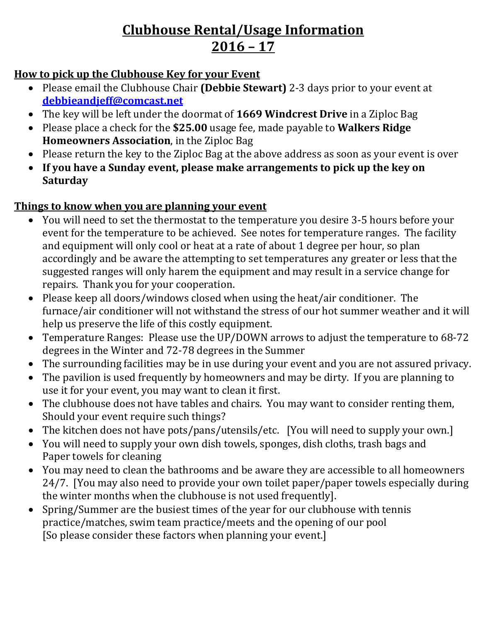# **Clubhouse Rental/Usage Information 2016 – 17**

#### **How to pick up the Clubhouse Key for your Event**

- Please email the Clubhouse Chair **(Debbie Stewart)** 2-3 days prior to your event at **[debbieandjeff@comcast.net](mailto:debbieandjeff@comcast.net)**
- The key will be left under the doormat of **1669 Windcrest Drive** in a Ziploc Bag
- Please place a check for the **\$25.00** usage fee, made payable to **Walkers Ridge Homeowners Association**, in the Ziploc Bag
- Please return the key to the Ziploc Bag at the above address as soon as your event is over
- **If you have a Sunday event, please make arrangements to pick up the key on Saturday**

### **Things to know when you are planning your event**

- You will need to set the thermostat to the temperature you desire 3-5 hours before your event for the temperature to be achieved. See notes for temperature ranges. The facility and equipment will only cool or heat at a rate of about 1 degree per hour, so plan accordingly and be aware the attempting to set temperatures any greater or less that the suggested ranges will only harem the equipment and may result in a service change for repairs. Thank you for your cooperation.
- Please keep all doors/windows closed when using the heat/air conditioner. The furnace/air conditioner will not withstand the stress of our hot summer weather and it will help us preserve the life of this costly equipment.
- Temperature Ranges: Please use the UP/DOWN arrows to adjust the temperature to 68-72 degrees in the Winter and 72-78 degrees in the Summer
- The surrounding facilities may be in use during your event and you are not assured privacy.
- The pavilion is used frequently by homeowners and may be dirty. If you are planning to use it for your event, you may want to clean it first.
- The clubhouse does not have tables and chairs. You may want to consider renting them, Should your event require such things?
- The kitchen does not have pots/pans/utensils/etc. [You will need to supply your own.]
- You will need to supply your own dish towels, sponges, dish cloths, trash bags and Paper towels for cleaning
- You may need to clean the bathrooms and be aware they are accessible to all homeowners 24/7. [You may also need to provide your own toilet paper/paper towels especially during the winter months when the clubhouse is not used frequently].
- Spring/Summer are the busiest times of the year for our clubhouse with tennis practice/matches, swim team practice/meets and the opening of our pool [So please consider these factors when planning your event.]